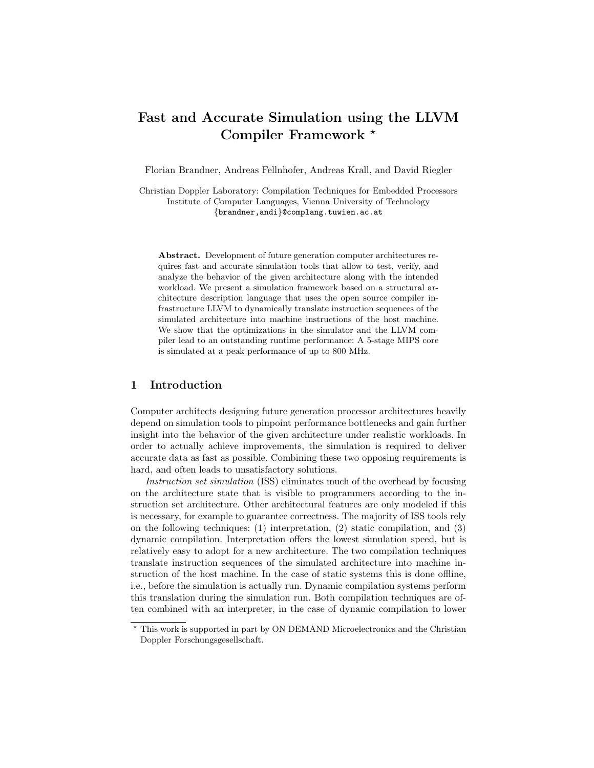# Fast and Accurate Simulation using the LLVM Compiler Framework \*

Florian Brandner, Andreas Fellnhofer, Andreas Krall, and David Riegler

Christian Doppler Laboratory: Compilation Techniques for Embedded Processors Institute of Computer Languages, Vienna University of Technology {brandner,andi}@complang.tuwien.ac.at

Abstract. Development of future generation computer architectures requires fast and accurate simulation tools that allow to test, verify, and analyze the behavior of the given architecture along with the intended workload. We present a simulation framework based on a structural architecture description language that uses the open source compiler infrastructure LLVM to dynamically translate instruction sequences of the simulated architecture into machine instructions of the host machine. We show that the optimizations in the simulator and the LLVM compiler lead to an outstanding runtime performance: A 5-stage MIPS core is simulated at a peak performance of up to 800 MHz.

## 1 Introduction

Computer architects designing future generation processor architectures heavily depend on simulation tools to pinpoint performance bottlenecks and gain further insight into the behavior of the given architecture under realistic workloads. In order to actually achieve improvements, the simulation is required to deliver accurate data as fast as possible. Combining these two opposing requirements is hard, and often leads to unsatisfactory solutions.

Instruction set simulation (ISS) eliminates much of the overhead by focusing on the architecture state that is visible to programmers according to the instruction set architecture. Other architectural features are only modeled if this is necessary, for example to guarantee correctness. The majority of ISS tools rely on the following techniques: (1) interpretation, (2) static compilation, and (3) dynamic compilation. Interpretation offers the lowest simulation speed, but is relatively easy to adopt for a new architecture. The two compilation techniques translate instruction sequences of the simulated architecture into machine instruction of the host machine. In the case of static systems this is done offline, i.e., before the simulation is actually run. Dynamic compilation systems perform this translation during the simulation run. Both compilation techniques are often combined with an interpreter, in the case of dynamic compilation to lower

 $^\star$  This work is supported in part by ON DEMAND Microelectronics and the Christian Doppler Forschungsgesellschaft.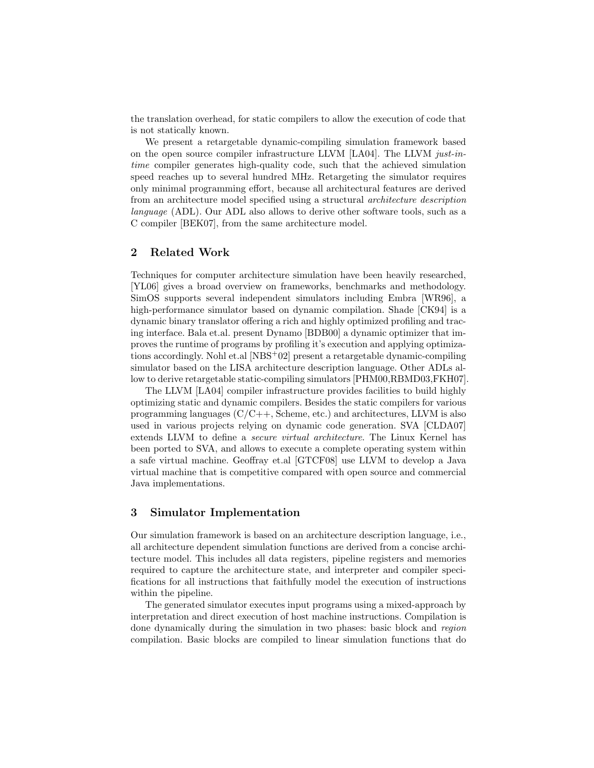the translation overhead, for static compilers to allow the execution of code that is not statically known.

We present a retargetable dynamic-compiling simulation framework based on the open source compiler infrastructure LLVM [LA04]. The LLVM just-intime compiler generates high-quality code, such that the achieved simulation speed reaches up to several hundred MHz. Retargeting the simulator requires only minimal programming effort, because all architectural features are derived from an architecture model specified using a structural architecture description language (ADL). Our ADL also allows to derive other software tools, such as a C compiler [BEK07], from the same architecture model.

# 2 Related Work

Techniques for computer architecture simulation have been heavily researched, [YL06] gives a broad overview on frameworks, benchmarks and methodology. SimOS supports several independent simulators including Embra [WR96], a high-performance simulator based on dynamic compilation. Shade [CK94] is a dynamic binary translator offering a rich and highly optimized profiling and tracing interface. Bala et.al. present Dynamo [BDB00] a dynamic optimizer that improves the runtime of programs by profiling it's execution and applying optimizations accordingly. Nohl et.al [NBS+02] present a retargetable dynamic-compiling simulator based on the LISA architecture description language. Other ADLs allow to derive retargetable static-compiling simulators [PHM00,RBMD03,FKH07].

The LLVM [LA04] compiler infrastructure provides facilities to build highly optimizing static and dynamic compilers. Besides the static compilers for various programming languages  $(C/C++$ , Scheme, etc.) and architectures, LLVM is also used in various projects relying on dynamic code generation. SVA [CLDA07] extends LLVM to define a secure virtual architecture. The Linux Kernel has been ported to SVA, and allows to execute a complete operating system within a safe virtual machine. Geoffray et.al [GTCF08] use LLVM to develop a Java virtual machine that is competitive compared with open source and commercial Java implementations.

## 3 Simulator Implementation

Our simulation framework is based on an architecture description language, i.e., all architecture dependent simulation functions are derived from a concise architecture model. This includes all data registers, pipeline registers and memories required to capture the architecture state, and interpreter and compiler specifications for all instructions that faithfully model the execution of instructions within the pipeline.

The generated simulator executes input programs using a mixed-approach by interpretation and direct execution of host machine instructions. Compilation is done dynamically during the simulation in two phases: basic block and region compilation. Basic blocks are compiled to linear simulation functions that do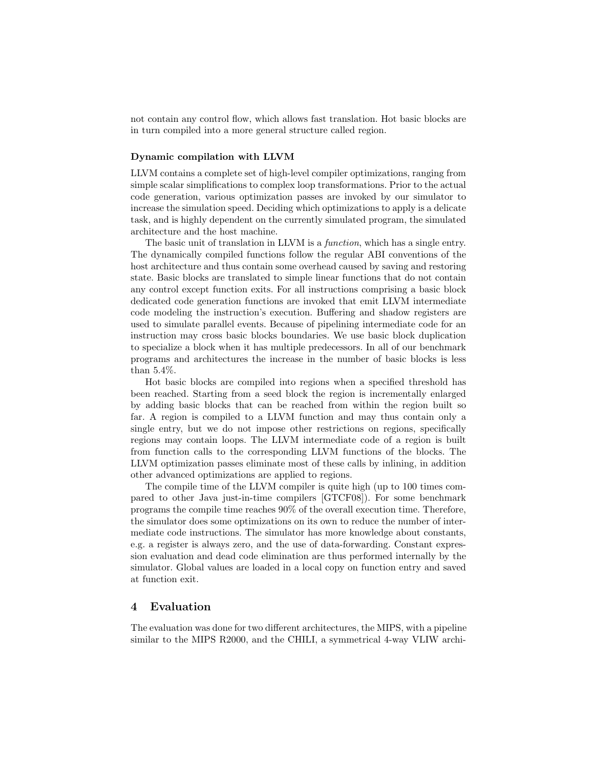not contain any control flow, which allows fast translation. Hot basic blocks are in turn compiled into a more general structure called region.

#### Dynamic compilation with LLVM

LLVM contains a complete set of high-level compiler optimizations, ranging from simple scalar simplifications to complex loop transformations. Prior to the actual code generation, various optimization passes are invoked by our simulator to increase the simulation speed. Deciding which optimizations to apply is a delicate task, and is highly dependent on the currently simulated program, the simulated architecture and the host machine.

The basic unit of translation in LLVM is a *function*, which has a single entry. The dynamically compiled functions follow the regular ABI conventions of the host architecture and thus contain some overhead caused by saving and restoring state. Basic blocks are translated to simple linear functions that do not contain any control except function exits. For all instructions comprising a basic block dedicated code generation functions are invoked that emit LLVM intermediate code modeling the instruction's execution. Buffering and shadow registers are used to simulate parallel events. Because of pipelining intermediate code for an instruction may cross basic blocks boundaries. We use basic block duplication to specialize a block when it has multiple predecessors. In all of our benchmark programs and architectures the increase in the number of basic blocks is less than 5.4%.

Hot basic blocks are compiled into regions when a specified threshold has been reached. Starting from a seed block the region is incrementally enlarged by adding basic blocks that can be reached from within the region built so far. A region is compiled to a LLVM function and may thus contain only a single entry, but we do not impose other restrictions on regions, specifically regions may contain loops. The LLVM intermediate code of a region is built from function calls to the corresponding LLVM functions of the blocks. The LLVM optimization passes eliminate most of these calls by inlining, in addition other advanced optimizations are applied to regions.

The compile time of the LLVM compiler is quite high (up to 100 times compared to other Java just-in-time compilers [GTCF08]). For some benchmark programs the compile time reaches 90% of the overall execution time. Therefore, the simulator does some optimizations on its own to reduce the number of intermediate code instructions. The simulator has more knowledge about constants, e.g. a register is always zero, and the use of data-forwarding. Constant expression evaluation and dead code elimination are thus performed internally by the simulator. Global values are loaded in a local copy on function entry and saved at function exit.

# 4 Evaluation

The evaluation was done for two different architectures, the MIPS, with a pipeline similar to the MIPS R2000, and the CHILI, a symmetrical 4-way VLIW archi-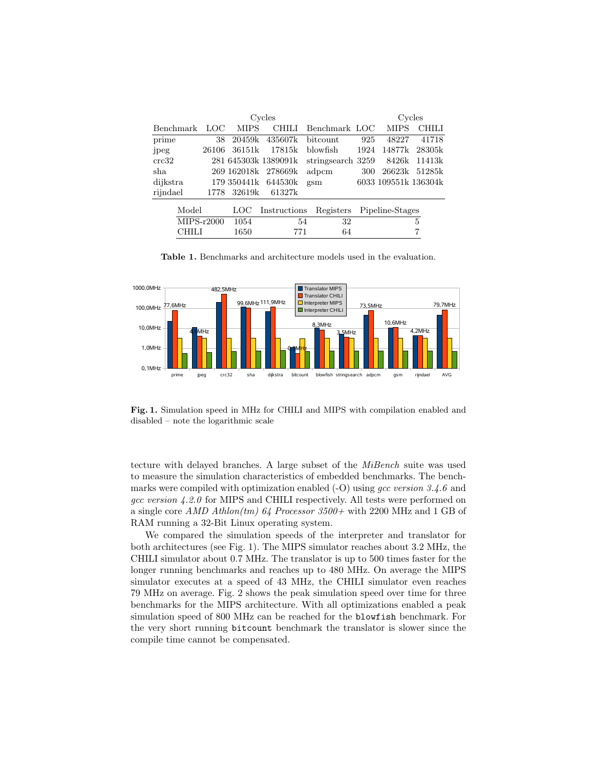| Cycles           |       |             |                      |                   |                           | Cycles      |                      |  |
|------------------|-------|-------------|----------------------|-------------------|---------------------------|-------------|----------------------|--|
| <b>Benchmark</b> | LOC   | <b>MIPS</b> | CHILI                | Benchmark LOC     |                           | <b>MIPS</b> | СНІІЛ                |  |
| prime            | 38    | 20459k      | 435607k              | bitcount          | 925                       | 48227       | 41718                |  |
| jpeg             | 26106 | 36151k      | 17815k               | blowfish.         | 1924                      | 14877k      | 28305k               |  |
| crc32            |       |             | 281 645303k 1389091k | stringsearch 3259 |                           | 8426k       | 11413k               |  |
| sha              |       | 269 162018k | 278669k              | adpcm             | 300                       | 26623k      | 51285k               |  |
| dijkstra         |       |             | 179 350441k 644530k  | gsm               |                           |             | 6033 109551k 136304k |  |
| rijndael         | 1778  | 32619k      | 61327k               |                   |                           |             |                      |  |
| Model            |       | LOC.        | Instructions         |                   | Registers Pipeline-Stages |             |                      |  |
| $MIPS-r2000$     |       | 1054        |                      | 32<br>54          |                           |             | 5                    |  |
| CHILI            |       | 1650        | 771                  | 64                |                           |             |                      |  |

Table 1. Benchmarks and architecture models used in the evaluation.



Fig. 1. Simulation speed in MHz for CHILI and MIPS with compilation enabled and disabled – note the logarithmic scale

tecture with delayed branches. A large subset of the MiBench suite was used to measure the simulation characteristics of embedded benchmarks. The benchmarks were compiled with optimization enabled  $(-O)$  using gcc version 3.4.6 and gcc version 4.2.0 for MIPS and CHILI respectively. All tests were performed on a single core  $AMD\ Athlon(tm)$  64 Processor 3500+ with 2200 MHz and 1 GB of RAM running a 32-Bit Linux operating system.

We compared the simulation speeds of the interpreter and translator for both architectures (see Fig. 1). The MIPS simulator reaches about 3.2 MHz, the CHILI simulator about 0.7 MHz. The translator is up to 500 times faster for the longer running benchmarks and reaches up to 480 MHz. On average the MIPS simulator executes at a speed of 43 MHz, the CHILI simulator even reaches 79 MHz on average. Fig. 2 shows the peak simulation speed over time for three benchmarks for the MIPS architecture. With all optimizations enabled a peak simulation speed of 800 MHz can be reached for the blowfish benchmark. For the very short running bitcount benchmark the translator is slower since the compile time cannot be compensated.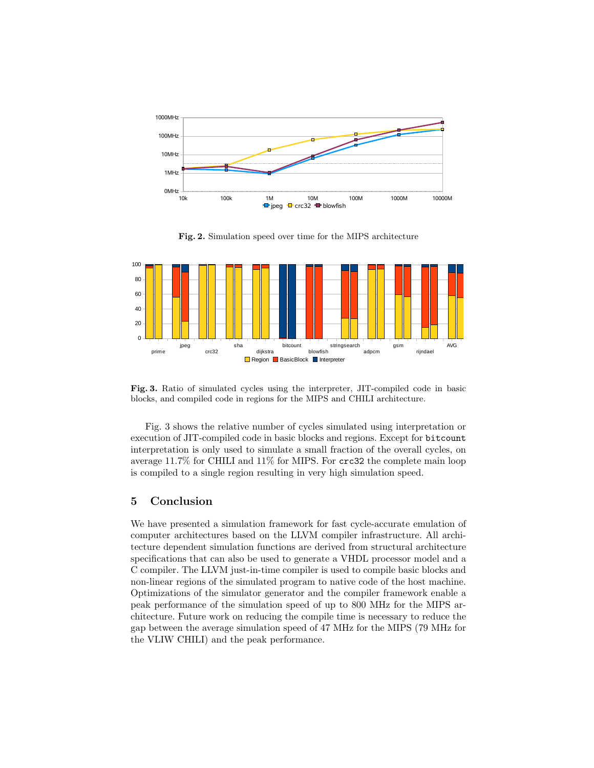

Fig. 2. Simulation speed over time for the MIPS architecture



Fig. 3. Ratio of simulated cycles using the interpreter, JIT-compiled code in basic blocks, and compiled code in regions for the MIPS and CHILI architecture.

Fig. 3 shows the relative number of cycles simulated using interpretation or execution of JIT-compiled code in basic blocks and regions. Except for bitcount interpretation is only used to simulate a small fraction of the overall cycles, on average 11.7% for CHILI and 11% for MIPS. For crc32 the complete main loop is compiled to a single region resulting in very high simulation speed.

## 5 Conclusion

We have presented a simulation framework for fast cycle-accurate emulation of computer architectures based on the LLVM compiler infrastructure. All architecture dependent simulation functions are derived from structural architecture specifications that can also be used to generate a VHDL processor model and a C compiler. The LLVM just-in-time compiler is used to compile basic blocks and non-linear regions of the simulated program to native code of the host machine. Optimizations of the simulator generator and the compiler framework enable a peak performance of the simulation speed of up to 800 MHz for the MIPS architecture. Future work on reducing the compile time is necessary to reduce the gap between the average simulation speed of 47 MHz for the MIPS (79 MHz for the VLIW CHILI) and the peak performance.